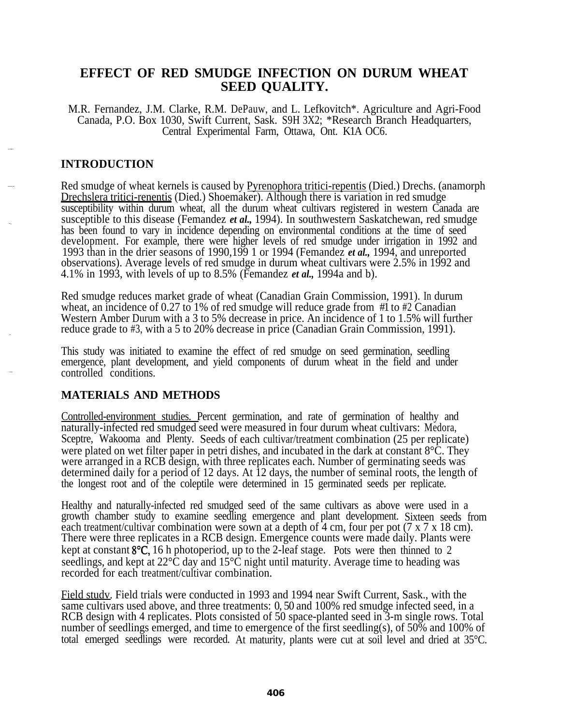# **EFFECT OF RED SMUDGE INFECTION ON DURUM WHEAT SEED QUALITY.**

M.R. Fernandez, J.M. Clarke, R.M. DePauw, and L. Lefkovitch\*. Agriculture and Agri-Food Canada, P.O. Box 1030, Swift Current, Sask. S9H 3X2; \*Research Branch Headquarters, Central Experimental Farm, Ottawa, Ont. K1A OC6.

## **INTRODUCTION**

Red smudge of wheat kernels is caused by Pyrenophora tritici-repentis (Died.) Drechs. (anamorph Drechslera tritici-renentis (Died.) Shoemaker). Although there is variation in red smudge susceptibility within durum wheat, all the durum wheat cultivars registered in western Canada are susceptible to this disease (Femandez *et al.,* 1994). In southwestern Saskatchewan, red smudge has been found to vary in incidence depending on environmental conditions at the time of seed development. For example, there were higher levels of red smudge under irrigation in 1992 and 1993 than in the drier seasons of 1990,199 1 or 1994 (Femandez *et al.,* 1994, and unreported observations). Average levels of red smudge in durum wheat cultivars were 2.5% in 1992 and 4.1% in 1993, with levels of up to 8.5% (Femandez *et al.,* 1994a and b).

Red smudge reduces market grade of wheat (Canadian Grain Commission, 1991). In durum wheat, an incidence of 0.27 to 1% of red smudge will reduce grade from #1 to #2 Canadian Western Amber Durum with a 3 to 5% decrease in price. An incidence of 1 to 1.5% will further reduce grade to #3, with a 5 to 20% decrease in price (Canadian Grain Commission, 1991).

This study was initiated to examine the effect of red smudge on seed germination, seedling emergence, plant development, and yield components of durum wheat in the field and under controlled conditions.

## **MATERIALS AND METHODS**

Controlled-environment studies. Percent germination, and rate of germination of healthy and naturally-infected red smudged seed were measured in four durum wheat cultivars: Medora, Sceptre, Wakooma and Plenty. Seeds of each cultivar/treatment combination (25 per replicate) were plated on wet filter paper in petri dishes, and incubated in the dark at constant 8<sup>o</sup>C. They were arranged in a RCB design, with three replicates each. Number of germinating seeds was determined daily for a period of 12 days. At 12 days, the number of seminal roots, the length of the longest root and of the coleptile were determined in 15 germinated seeds per replicate.

Healthy and naturally-infected red smudged seed of the same cultivars as above were used in a growth chamber study to examine seedling emergence and plant development. Sixteen seeds from each treatment/cultivar combination were sown at a depth of  $\overline{4}$  cm, four per pot (7 x 7 x 18 cm). There were three replicates in a RCB design. Emergence counts were made daily. Plants were kept at constant  $8^{\circ}C$ , 16 h photoperiod, up to the 2-leaf stage. Pots were then thinned to 2 seedlings, and kept at  $22^{\circ}$ C day and  $15^{\circ}$ C night until maturity. Average time to heading was recorded for each treatment/cultivar combination.

Field studv. Field trials were conducted in 1993 and 1994 near Swift Current, Sask., with the same cultivars used above, and three treatments: 0, 50 and 100% red smudge infected seed, in a RCB design with 4 replicates. Plots consisted of 50 space-planted seed in 3-m single rows. Total number of seedlings emerged, and time to emergence of the first seedling(s), of 50% and 100% of total emerged seedlings were recorded. At maturity, plants were cut at soil level and dried at 35°C.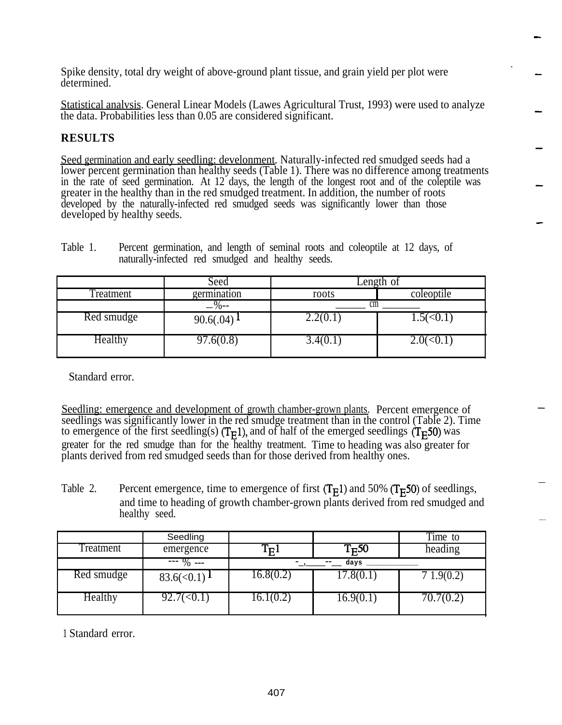Spike density, total dry weight of above-ground plant tissue, and grain yield per plot were determined.

Statistical analvsis. General Linear Models (Lawes Agricultural Trust, 1993) were used to analyze the data. Probabilities less than 0.05 are considered significant.

# **RESULTS**

Seed germination and early seedling: develonment. Naturally-infected red smudged seeds had a lower percent germination than healthy seeds (Table 1). There was no difference among treatments in the rate of seed germination. At 12 days, the length of the longest root and of the coleptile was greater in the healthy than in the red smudged treatment. In addition, the number of roots developed by the naturally-infected red smudged seeds was significantly lower than those developed by healthy seeds.

|            | Seed              | Length of |            |
|------------|-------------------|-----------|------------|
| Treatment  | germination       | roots     | coleoptile |
|            | $-\frac{9}{6}$ -- | cm        |            |
| Red smudge | 90.6(.04)         | 2.2(0.1)  | (<0.1      |
| Healthy    | 97.6(0.8)         | 3.4(0.1)  |            |

Table 1. Percent germination, and length of seminal roots and coleoptile at 12 days, of naturally-infected red smudged and healthy seeds.

Standard error.

Seedling: emergence and development of growth chamber-grown plants. Percent emergence of seedlings was significantly lower in the red smudge treatment than in the control (Table 2). Time to emergence of the first seedling(s)  $(T_F1)$ , and of half of the emerged seedlings  $(T_F50)$  was greater for the red smudge than for the healthy treatment. Time to heading was also greater for plants derived from red smudged seeds than for those derived from healthy ones.

Table 2. Percent emergence, time to emergence of first  $(T<sub>E</sub>1)$  and 50%  $(T<sub>E</sub>50)$  of seedlings, and time to heading of growth chamber-grown plants derived from red smudged and healthy seed.

|                  | Seedling                    |           |                | Time to   |
|------------------|-----------------------------|-----------|----------------|-----------|
| <b>Treatment</b> | emergence                   |           | $T_{\rm E}$ 50 | heading   |
|                  | $- - 9$ ---                 |           | days           |           |
| Red smudge       | $83.6(<0.1)$ $\blacksquare$ | 16.8(0.2) | 17.8(0.1)      | .9(0.2)   |
| Healthy          | /(<0.1                      | [6.1(0.2) | 16.9(0.1)      | 70.7(0.2) |

1 Standard error.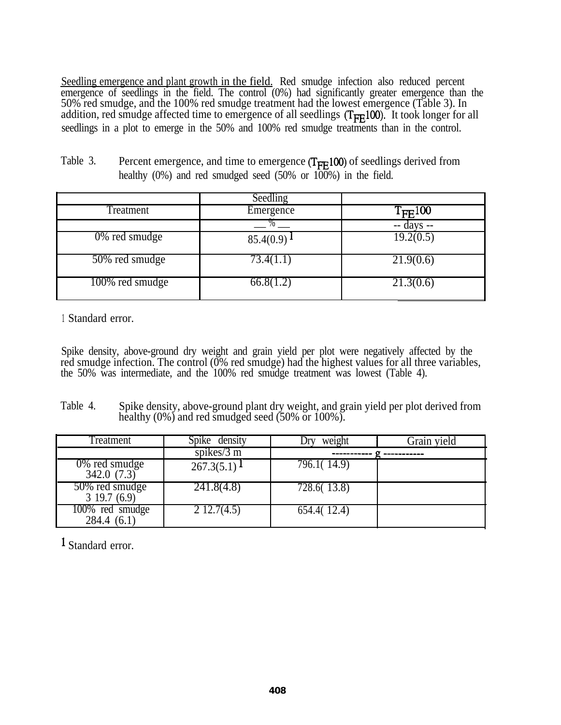Seedling emergence and plant growth in the field. Red smudge infection also reduced percent emergence of seedlings in the field. The control (0%) had significantly greater emergence than the 50% red smudge, and the 100% red smudge treatment had the lowest emergence (Table 3). In addition, red smudge affected time to emergence of all seedlings  $(T_{FF}100)$ . It took longer for all seedlings in a plot to emerge in the 50% and 100% red smudge treatments than in the control.

|                  | Seedling  |                        |
|------------------|-----------|------------------------|
| Treatment        | Emergence | $T_{\text{FE}}100$     |
|                  |           |                        |
| $0\%$ red smudge | 85.4(0.9) | $\overline{19.2(0.5)}$ |
| 50% red smudge   | 73.4(1.1) | 21.9(0.6)              |
| 100% red smudge  | 66.8(1.2) | 21.3(0.6)              |

Table 3. Percent emergence, and time to emergence  $(T_{\text{FF}}100)$  of seedlings derived from healthy  $(0\%)$  and red smudged seed  $(50\% \text{ or } 100\%)$  in the field.

<sup>1</sup> Standard error.

Spike density, above-ground dry weight and grain yield per plot were negatively affected by the red smudge infection. The control (0% red smudge) had the highest values for all three variables, the 50% was intermediate, and the 100% red smudge treatment was lowest (Table 4).

Table 4. Spike density, above-ground plant dry weight, and grain yield per plot derived from healthy (0%) and red smudged seed (50% or 100%).

| Treatment                      | Spike density         | weight      | Grain yield |
|--------------------------------|-----------------------|-------------|-------------|
|                                | spikes/ $3 \text{ m}$ |             |             |
| $0\%$ red smudge<br>342.0(7.3) | 267.3(5.1)            | 796.1(14.9) |             |
| 50% red smudge<br>319.7(6.9)   | 241.8(4.8)            | 728.6(13.8) |             |
| 100% red smudge<br>284.4(6.1)  | $2\,12.7(4.5)$        | 654.4(12.4) |             |

<sup>1</sup> Standard error.